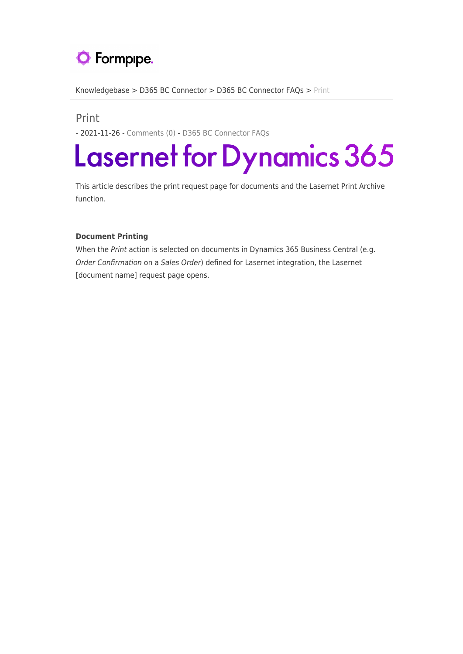## **O** Formpipe.

[Knowledgebase](https://support.formpipe.com/kb) > [D365 BC Connector](https://support.formpipe.com/kb/d365-bc-connector) > [D365 BC Connector FAQs](https://support.formpipe.com/kb/d365-bc-connector-faqs) > [Print](https://support.formpipe.com/kb/articles/print)

## Print

- 2021-11-26 - [Comments \(0\)](#page--1-0) - [D365 BC Connector FAQs](https://support.formpipe.com/kb/d365-bc-connector-faqs)

## Lasernet for Dynamics 365

This article describes the print request page for documents and the Lasernet Print Archive function.

## **Document Printing**

When the Print action is selected on documents in Dynamics 365 Business Central (e.g. Order Confirmation on a Sales Order) defined for Lasernet integration, the Lasernet [document name] request page opens.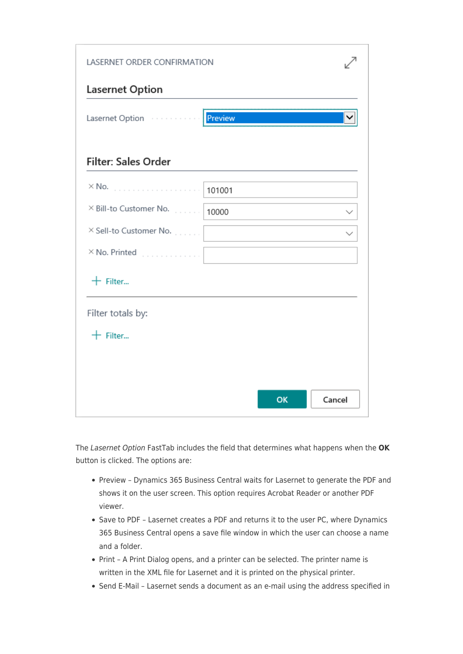| LASERNET ORDER CONFIRMATION    |         |    |        |
|--------------------------------|---------|----|--------|
| Lasernet Option                |         |    |        |
| Lasernet Option                | Preview |    |        |
| <b>Filter: Sales Order</b>     |         |    |        |
| $\times$ No.<br>and a complete | 101001  |    |        |
| × Bill-to Customer No.         | 10000   |    |        |
| X Sell-to Customer No.         |         |    |        |
| $\times$ No. Printed<br>.      |         |    |        |
| $+$ Filter                     |         |    |        |
| Filter totals by:              |         |    |        |
| $+$ Filter                     |         |    |        |
|                                |         |    |        |
|                                |         |    |        |
|                                |         | OK | Cancel |

The Lasernet Option FastTab includes the field that determines what happens when the **OK** button is clicked. The options are:

- Preview Dynamics 365 Business Central waits for Lasernet to generate the PDF and shows it on the user screen. This option requires Acrobat Reader or another PDF viewer.
- Save to PDF Lasernet creates a PDF and returns it to the user PC, where Dynamics 365 Business Central opens a save file window in which the user can choose a name and a folder.
- Print A Print Dialog opens, and a printer can be selected. The printer name is written in the XML file for Lasernet and it is printed on the physical printer.
- Send E-Mail Lasernet sends a document as an e-mail using the address specified in